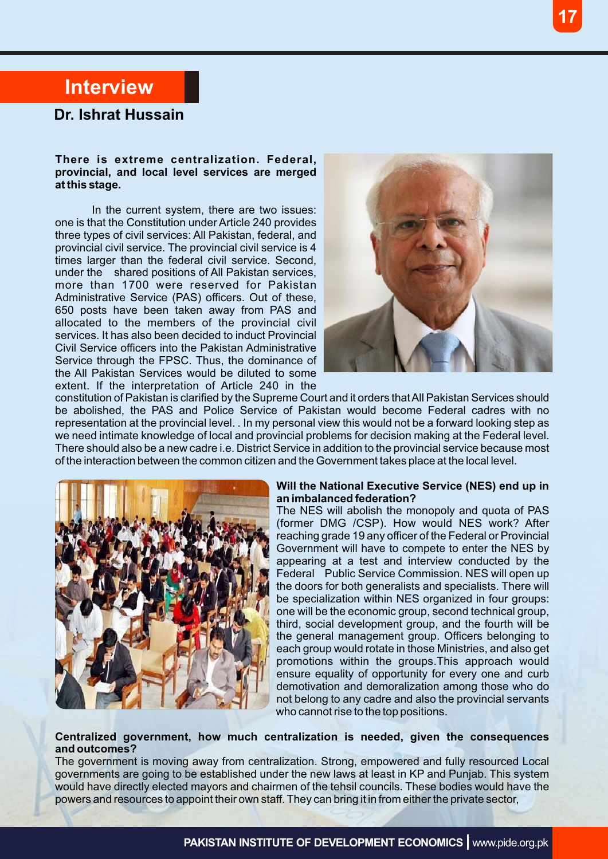# **Interview**

### **Dr. Ishrat Hussain**

#### **There is extreme centralization. Federal, provincial, and local level services are merged at this stage.**

In the current system, there are two issues: one is that the Constitution under Article 240 provides three types of civil services: All Pakistan, federal, and provincial civil service. The provincial civil service is 4 times larger than the federal civil service. Second, under the shared positions of All Pakistan services, more than 1700 were reserved for Pakistan Administrative Service (PAS) officers. Out of these, 650 posts have been taken away from PAS and allocated to the members of the provincial civil services. It has also been decided to induct Provincial Civil Service officers into the Pakistan Administrative Service through the FPSC. Thus, the dominance of the All Pakistan Services would be diluted to some extent. If the interpretation of Article 240 in the



constitution of Pakistan is clarified by the Supreme Court and it orders that All Pakistan Services should be abolished, the PAS and Police Service of Pakistan would become Federal cadres with no representation at the provincial level. . In my personal view this would not be a forward looking step as we need intimate knowledge of local and provincial problems for decision making at the Federal level. There should also be a new cadre i.e. District Service in addition to the provincial service because most of the interaction between the common citizen and the Government takes place at the local level.



#### **Will the National Executive Service (NES) end up in an imbalanced federation?**

The NES will abolish the monopoly and quota of PAS (former DMG /CSP). How would NES work? After reaching grade 19 any officer of the Federal or Provincial Government will have to compete to enter the NES by appearing at a test and interview conducted by the Federal Public Service Commission. NES will open up the doors for both generalists and specialists. There will be specialization within NES organized in four groups: one will be the economic group, second technical group, third, social development group, and the fourth will be the general management group. Officers belonging to each group would rotate in those Ministries, and also get promotions within the groups.This approach would ensure equality of opportunity for every one and curb demotivation and demoralization among those who do not belong to any cadre and also the provincial servants who cannot rise to the top positions.

#### **Centralized government, how much centralization is needed, given the consequences and outcomes?**

The government is moving away from centralization. Strong, empowered and fully resourced Local governments are going to be established under the new laws at least in KP and Punjab. This system would have directly elected mayors and chairmen of the tehsil councils. These bodies would have the powers and resources to appoint their own staff. They can bring it in from either the private sector,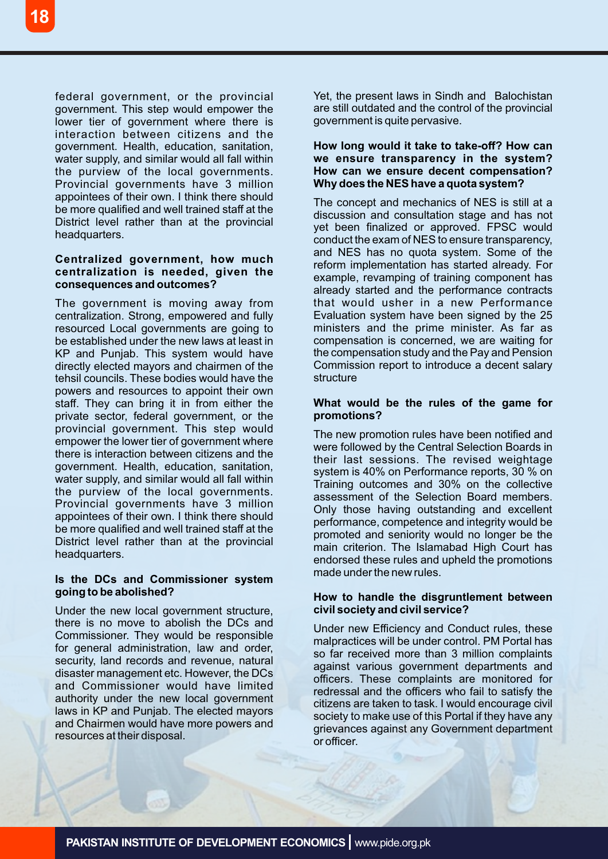federal government, or the provincial government. This step would empower the lower tier of government where there is interaction between citizens and the government. Health, education, sanitation, water supply, and similar would all fall within the purview of the local governments. Provincial governments have 3 million appointees of their own. I think there should be more qualified and well trained staff at the District level rather than at the provincial headquarters.

#### **Centralized government, how much centralization is needed, given the consequences and outcomes?**

The government is moving away from centralization. Strong, empowered and fully resourced Local governments are going to be established under the new laws at least in KP and Punjab. This system would have directly elected mayors and chairmen of the tehsil councils. These bodies would have the powers and resources to appoint their own staff. They can bring it in from either the private sector, federal government, or the provincial government. This step would empower the lower tier of government where there is interaction between citizens and the government. Health, education, sanitation, water supply, and similar would all fall within the purview of the local governments. Provincial governments have 3 million appointees of their own. I think there should be more qualified and well trained staff at the District level rather than at the provincial headquarters.

#### **Is the DCs and Commissioner system going to be abolished?**

Under the new local government structure, there is no move to abolish the DCs and Commissioner. They would be responsible for general administration, law and order, security, land records and revenue, natural disaster management etc. However, the DCs and Commissioner would have limited authority under the new local government laws in KP and Punjab. The elected mayors and Chairmen would have more powers and resources at their disposal.

Yet, the present laws in Sindh and Balochistan are still outdated and the control of the provincial government is quite pervasive.

#### **How long would it take to take-off? How can we ensure transparency in the system? How can we ensure decent compensation? Why does the NES have a quota system?**

The concept and mechanics of NES is still at a discussion and consultation stage and has not yet been finalized or approved. FPSC would conduct the exam of NES to ensure transparency, and NES has no quota system. Some of the reform implementation has started already. For example, revamping of training component has already started and the performance contracts that would usher in a new Performance Evaluation system have been signed by the 25 ministers and the prime minister. As far as compensation is concerned, we are waiting for the compensation study and the Pay and Pension Commission report to introduce a decent salary structure

#### **What would be the rules of the game for promotions?**

The new promotion rules have been notified and were followed by the Central Selection Boards in their last sessions. The revised weightage system is 40% on Performance reports, 30 % on Training outcomes and 30% on the collective assessment of the Selection Board members. Only those having outstanding and excellent performance, competence and integrity would be promoted and seniority would no longer be the main criterion. The Islamabad High Court has endorsed these rules and upheld the promotions made under the new rules.

#### **How to handle the disgruntlement between civil society and civil service?**

Under new Efficiency and Conduct rules, these malpractices will be under control. PM Portal has so far received more than 3 million complaints against various government departments and officers. These complaints are monitored for redressal and the officers who fail to satisfy the citizens are taken to task. I would encourage civil society to make use of this Portal if they have any grievances against any Government department or officer.